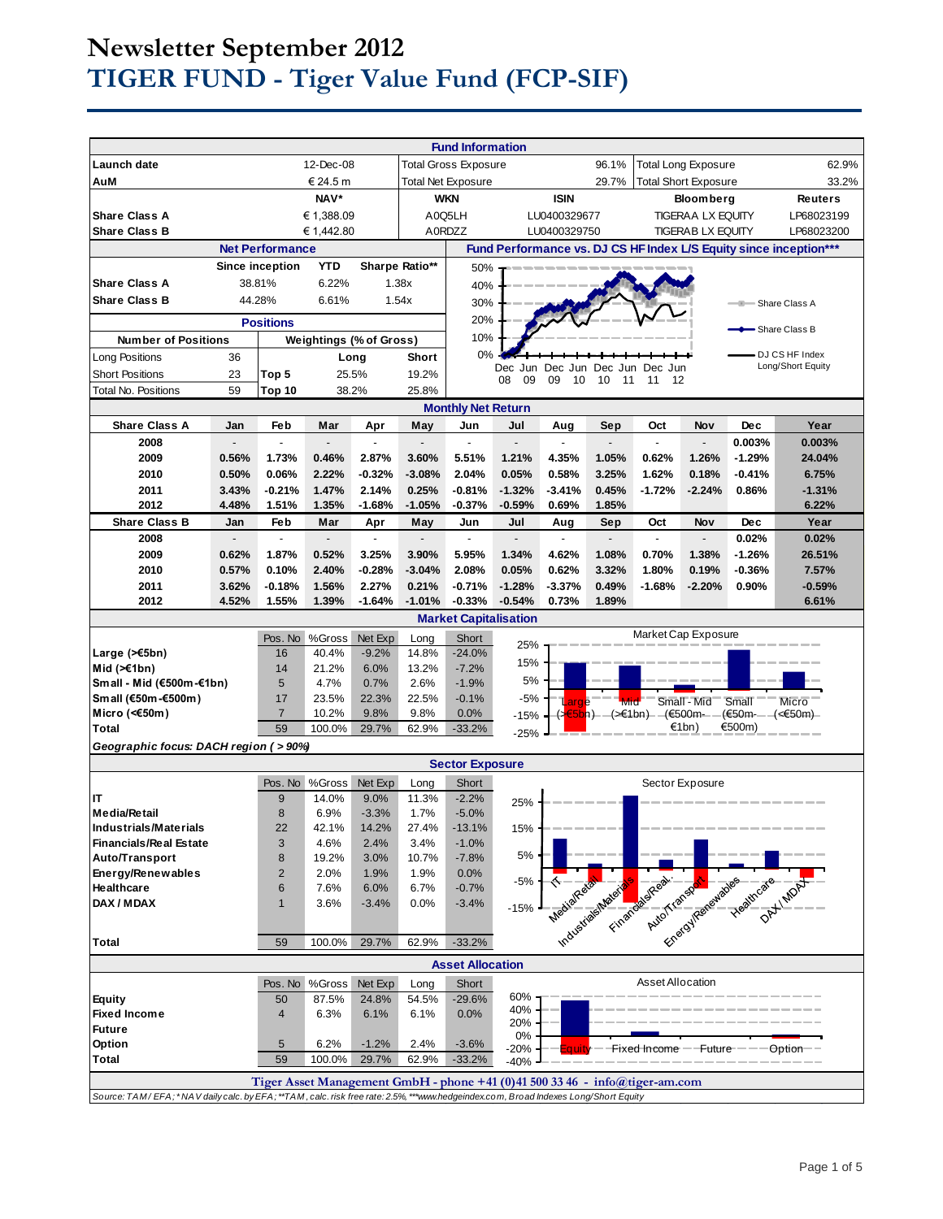# **Newsletter September 2012 TIGER FUND - Tiger Value Fund (FCP-SIF)**

|                                                                                                                                     |                |                        |                |                           |               | <b>Fund Information</b>     |                |                          |                             |                                                                             |                          |                    |                                                                   |
|-------------------------------------------------------------------------------------------------------------------------------------|----------------|------------------------|----------------|---------------------------|---------------|-----------------------------|----------------|--------------------------|-----------------------------|-----------------------------------------------------------------------------|--------------------------|--------------------|-------------------------------------------------------------------|
| Launch date                                                                                                                         |                |                        | 12-Dec-08      |                           |               | <b>Total Gross Exposure</b> |                |                          | 96.1%                       | <b>Total Long Exposure</b>                                                  |                          |                    | 62.9%                                                             |
| AuM                                                                                                                                 | € 24.5 m       |                        |                | <b>Total Net Exposure</b> |               |                             | 29.7%          |                          | <b>Total Short Exposure</b> |                                                                             | 33.2%                    |                    |                                                                   |
|                                                                                                                                     |                |                        | NAV*           |                           |               | <b>WKN</b>                  |                | <b>ISIN</b>              |                             |                                                                             | <b>Bloomberg</b>         |                    | <b>Reuters</b>                                                    |
| <b>Share Class A</b>                                                                                                                |                |                        | € 1,388.09     |                           |               | A0Q5LH                      |                | LU0400329677             |                             |                                                                             | TIGERAA LX EQUITY        |                    | LP68023199                                                        |
| <b>Share Class B</b>                                                                                                                |                |                        | € 1,442.80     |                           |               | A0RDZZ                      |                | LU0400329750             |                             |                                                                             | <b>TIGERAB LX EQUITY</b> |                    | LP68023200                                                        |
|                                                                                                                                     |                | <b>Net Performance</b> |                |                           |               |                             |                |                          |                             |                                                                             |                          |                    | Fund Performance vs. DJ CS HF Index L/S Equity since inception*** |
|                                                                                                                                     |                | Since inception        | <b>YTD</b>     | Sharpe Ratio**            |               | 50%                         |                |                          |                             |                                                                             |                          |                    |                                                                   |
| <b>Share Class A</b>                                                                                                                |                | 38.81%                 | 6.22%          |                           | 1.38x         | 40%                         |                |                          |                             |                                                                             |                          |                    |                                                                   |
| <b>Share Class B</b>                                                                                                                |                | 44.28%                 | 6.61%          | 1.54x                     |               | 30%                         |                |                          |                             |                                                                             |                          | ÷                  | Share Class A                                                     |
|                                                                                                                                     |                | <b>Positions</b>       |                |                           |               | 20%                         |                |                          |                             |                                                                             |                          |                    |                                                                   |
| <b>Weightings (% of Gross)</b><br><b>Number of Positions</b>                                                                        |                |                        |                |                           | 10%           |                             |                |                          |                             |                                                                             |                          | - Share Class B    |                                                                   |
| Long Positions                                                                                                                      | 36             |                        |                | Long                      | <b>Short</b>  | 0%                          |                |                          |                             |                                                                             |                          |                    | DJ CS HF Index                                                    |
| <b>Short Positions</b>                                                                                                              | 23             | Top 5                  |                | 25.5%                     | 19.2%         |                             | Dec            | Jun Dec Jun              | Dec                         | Jun<br>Dec                                                                  |                          |                    | Long/Short Equity                                                 |
| <b>Total No. Positions</b>                                                                                                          | 59             | Top 10                 | 38.2%          |                           | 25.8%         |                             | 08<br>09       | 09<br>10                 | 10<br>11                    | 12<br>11                                                                    |                          |                    |                                                                   |
|                                                                                                                                     |                |                        |                |                           |               | <b>Monthly Net Return</b>   |                |                          |                             |                                                                             |                          |                    |                                                                   |
| <b>Share Class A</b>                                                                                                                | Jan            | Feb                    | Mar            | Apr                       | May           | Jun                         | Jul            | Aug                      | Sep                         | Oct                                                                         | Nov                      | <b>Dec</b>         | Year                                                              |
| 2008                                                                                                                                |                |                        |                |                           |               |                             |                |                          |                             |                                                                             |                          | 0.003%             | 0.003%                                                            |
| 2009                                                                                                                                | 0.56%          | 1.73%                  | 0.46%          | 2.87%                     | 3.60%         | 5.51%                       | 1.21%          | 4.35%                    | 1.05%                       | 0.62%                                                                       | 1.26%                    | $-1.29%$           | 24.04%                                                            |
| 2010                                                                                                                                | 0.50%          | 0.06%                  | 2.22%          | $-0.32%$                  | $-3.08%$      | 2.04%                       | 0.05%          | 0.58%                    | 3.25%                       | 1.62%                                                                       | 0.18%                    | $-0.41%$           | 6.75%                                                             |
| 2011                                                                                                                                | 3.43%          | $-0.21%$               | 1.47%          | 2.14%                     | 0.25%         | $-0.81%$                    | $-1.32%$       | $-3.41%$                 | 0.45%                       | $-1.72%$                                                                    | $-2.24%$                 | 0.86%              | $-1.31%$                                                          |
| 2012                                                                                                                                | 4.48%          | 1.51%                  | 1.35%          | $-1.68%$                  | $-1.05%$      | $-0.37%$                    | $-0.59%$       | 0.69%                    | 1.85%                       |                                                                             |                          |                    | 6.22%                                                             |
| <b>Share Class B</b>                                                                                                                | Jan            | Feb                    | Mar            | Apr                       | May           | Jun                         | Jul            | Aug                      | Sep                         | Oct                                                                         | Nov                      | Dec                | Year                                                              |
| 2008                                                                                                                                | $\overline{a}$ | $\overline{a}$         | $\overline{a}$ | ÷,                        |               | $\overline{a}$              | $\overline{a}$ | $\overline{\phantom{a}}$ | $\overline{a}$              | $\overline{a}$                                                              | $\overline{\phantom{a}}$ | 0.02%              | 0.02%                                                             |
| 2009                                                                                                                                | 0.62%          | 1.87%                  | 0.52%          | 3.25%                     | 3.90%         | 5.95%                       | 1.34%          | 4.62%                    | 1.08%                       | 0.70%                                                                       | 1.38%                    | $-1.26%$           | 26.51%                                                            |
| 2010                                                                                                                                | 0.57%          | 0.10%                  | 2.40%          | $-0.28%$                  | $-3.04%$      | 2.08%                       | 0.05%          | 0.62%                    | 3.32%                       | 1.80%                                                                       | 0.19%                    | $-0.36%$           | 7.57%                                                             |
| 2011                                                                                                                                | 3.62%          | $-0.18%$               | 1.56%          | 2.27%                     | 0.21%         | $-0.71%$                    | $-1.28%$       | $-3.37%$                 | 0.49%                       | $-1.68%$                                                                    | $-2.20%$                 | 0.90%              | $-0.59%$                                                          |
| 2012                                                                                                                                | 4.52%          | 1.55%                  | 1.39%          | $-1.64%$                  | $-1.01%$      | $-0.33%$                    | $-0.54%$       | 0.73%                    | 1.89%                       |                                                                             |                          |                    | 6.61%                                                             |
| <b>Market Capitalisation</b>                                                                                                        |                |                        |                |                           |               |                             |                |                          |                             |                                                                             |                          |                    |                                                                   |
|                                                                                                                                     |                | Pos. No                | %Gross         | Net Exp                   | Long          | Short                       | 25%            |                          |                             | Market Cap Exposure                                                         |                          |                    |                                                                   |
| Large $($ $\leq$ 5bn)                                                                                                               |                | 16                     | 40.4%          | $-9.2%$                   | 14.8%         | $-24.0%$                    | 15%            |                          |                             |                                                                             |                          |                    |                                                                   |
| Mid $(\ge 1$ bn)                                                                                                                    |                | 14                     | 21.2%          | 6.0%                      | 13.2%         | $-7.2%$                     | 5%             |                          |                             |                                                                             |                          |                    |                                                                   |
| Small - Mid (€500m-€1bn)<br>Small (€50m-€500m)                                                                                      |                | 5<br>17                | 4.7%<br>23.5%  | 0.7%<br>22.3%             | 2.6%<br>22.5% | $-1.9%$<br>$-0.1%$          | $-5%$          |                          |                             |                                                                             |                          |                    |                                                                   |
| Micro (<€50m)                                                                                                                       |                | $\overline{7}$         | 10.2%          | 9.8%                      | 9.8%          | 0.0%                        | $-15%$         | arge                     | Mid                         | (≽ <mark>€5b</mark> n) – (>€1bn) – (€500m –                                 | Small - Mid              | Small<br>(€50m-— – | Micro<br>(<€50m)–                                                 |
| <b>Total</b>                                                                                                                        |                | 59                     | 100.0%         | 29.7%                     | 62.9%         | $-33.2%$                    |                |                          |                             |                                                                             | €1bn)                    | €500m)             |                                                                   |
| Geographic focus: DACH region (>90%)                                                                                                |                |                        |                |                           |               |                             | $-25%$         |                          |                             |                                                                             |                          |                    |                                                                   |
| <b>Sector Exposure</b>                                                                                                              |                |                        |                |                           |               |                             |                |                          |                             |                                                                             |                          |                    |                                                                   |
|                                                                                                                                     |                | Pos. No                | %Gross         | Net Exp                   | Long          | Short                       |                |                          |                             |                                                                             | Sector Exposure          |                    |                                                                   |
| IT                                                                                                                                  |                | 9                      | 14.0%          | 9.0%                      | 11.3%         | $-2.2%$                     | 25%            |                          |                             |                                                                             |                          |                    |                                                                   |
| <b>Media/Retail</b>                                                                                                                 |                | 8                      | 6.9%           | $-3.3%$                   | 1.7%          | $-5.0%$                     |                |                          |                             |                                                                             |                          |                    |                                                                   |
| <b>Industrials/Materials</b>                                                                                                        |                | 22                     | 42.1%          | 14.2%                     | 27.4%         | $-13.1%$                    | 15%            |                          |                             |                                                                             |                          |                    |                                                                   |
| <b>Financials/Real Estate</b>                                                                                                       |                | 3                      | 4.6%           | 2.4%                      | 3.4%          | $-1.0%$                     | 5%             |                          |                             |                                                                             |                          |                    |                                                                   |
| Auto/Transport                                                                                                                      |                | 8                      | 19.2%          | 3.0%                      | 10.7%         | $-7.8%$                     |                |                          |                             |                                                                             |                          |                    |                                                                   |
| Energy/Renewables<br>Healthcare                                                                                                     |                | $\overline{2}$<br>6    | 2.0%<br>7.6%   | 1.9%<br>6.0%              | 1.9%<br>6.7%  | 0.0%<br>$-0.7%$             | $-5%$          |                          |                             |                                                                             |                          |                    |                                                                   |
| DAX / MDAX                                                                                                                          |                | $\mathbf{1}$           | 3.6%           | $-3.4%$                   | 0.0%          | $-3.4%$                     |                |                          |                             |                                                                             |                          |                    |                                                                   |
|                                                                                                                                     |                |                        |                |                           |               |                             | $-15%$         |                          |                             |                                                                             |                          |                    |                                                                   |
|                                                                                                                                     |                | 59                     | 100.0%         | 29.7%                     | 62.9%         | $-33.2%$                    |                |                          |                             | Theological Material School Avenue Teaching of Ont Indian                   |                          |                    |                                                                   |
| Total                                                                                                                               |                |                        |                |                           |               |                             |                |                          |                             |                                                                             |                          |                    |                                                                   |
| <b>Asset Allocation</b>                                                                                                             |                |                        |                |                           |               |                             |                |                          |                             |                                                                             |                          |                    |                                                                   |
|                                                                                                                                     |                | Pos. No                | %Gross         | Net Exp                   | Long          | Short                       |                |                          |                             | <b>Asset Allocation</b>                                                     |                          |                    |                                                                   |
| <b>Equity</b>                                                                                                                       |                | 50                     | 87.5%          | 24.8%                     | 54.5%         | $-29.6%$                    | 60%<br>40%     |                          |                             |                                                                             |                          |                    |                                                                   |
| <b>Fixed Income</b><br><b>Future</b>                                                                                                |                | 4                      | 6.3%           | 6.1%                      | 6.1%          | 0.0%                        | 20%            |                          |                             |                                                                             |                          |                    |                                                                   |
| Option                                                                                                                              |                | 5                      | 6.2%           | $-1.2%$                   | 2.4%          | $-3.6%$                     | 0%             |                          |                             |                                                                             |                          |                    |                                                                   |
| <b>Total</b>                                                                                                                        |                | 59                     | 100.0%         | 29.7%                     | 62.9%         | $-33.2%$                    | -20%<br>$-40%$ |                          |                             | Fixed Income ——Future-                                                      |                          |                    | ⊖ption—                                                           |
|                                                                                                                                     |                |                        |                |                           |               |                             |                |                          |                             |                                                                             |                          |                    |                                                                   |
| Source: TAM/EFA; *NAV daily calc. by EFA; **TAM, calc. risk free rate: 2.5%, ***www.hedgeindex.com, Broad Indexes Long/Short Equity |                |                        |                |                           |               |                             |                |                          |                             | Tiger Asset Management GmbH - phone +41 (0)41 500 33 46 - info@tiger-am.com |                          |                    |                                                                   |
|                                                                                                                                     |                |                        |                |                           |               |                             |                |                          |                             |                                                                             |                          |                    |                                                                   |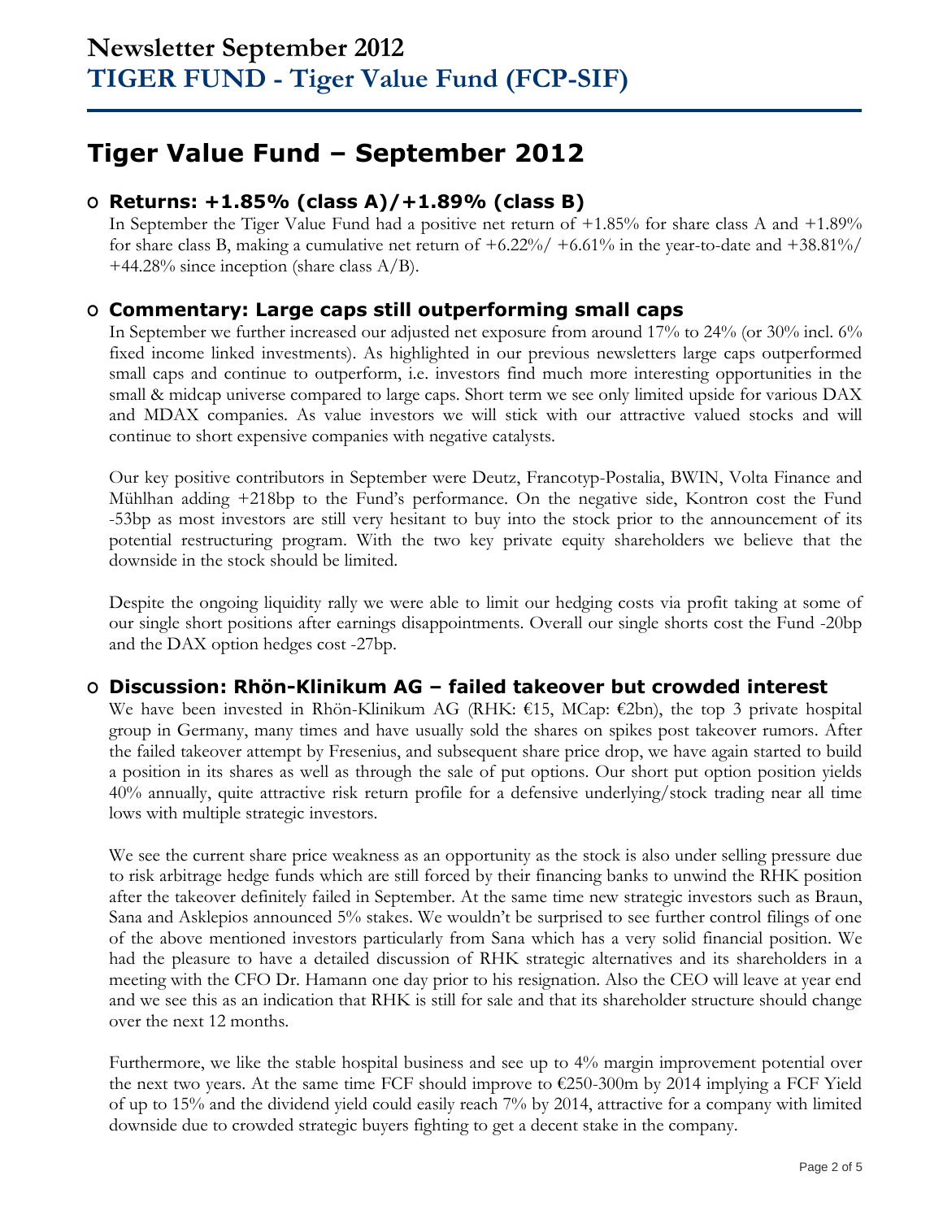# **Tiger Value Fund – September 2012**

## **O Returns: +1.85% (class A)/+1.89% (class B)**

In September the Tiger Value Fund had a positive net return of +1.85% for share class A and +1.89% for share class B, making a cumulative net return of  $+6.22\%/6 + 6.61\%$  in the year-to-date and  $+38.81\%/6$  $+44.28\%$  since inception (share class A/B).

### **O Commentary: Large caps still outperforming small caps**

In September we further increased our adjusted net exposure from around 17% to 24% (or 30% incl. 6% fixed income linked investments). As highlighted in our previous newsletters large caps outperformed small caps and continue to outperform, i.e. investors find much more interesting opportunities in the small & midcap universe compared to large caps. Short term we see only limited upside for various DAX and MDAX companies. As value investors we will stick with our attractive valued stocks and will continue to short expensive companies with negative catalysts.

Our key positive contributors in September were Deutz, Francotyp-Postalia, BWIN, Volta Finance and Mühlhan adding +218bp to the Fund's performance. On the negative side, Kontron cost the Fund -53bp as most investors are still very hesitant to buy into the stock prior to the announcement of its potential restructuring program. With the two key private equity shareholders we believe that the downside in the stock should be limited.

Despite the ongoing liquidity rally we were able to limit our hedging costs via profit taking at some of our single short positions after earnings disappointments. Overall our single shorts cost the Fund -20bp and the DAX option hedges cost -27bp.

### **O Discussion: Rhön-Klinikum AG – failed takeover but crowded interest**

We have been invested in Rhön-Klinikum AG (RHK:  $\epsilon$ 15, MCap:  $\epsilon$ 2bn), the top 3 private hospital group in Germany, many times and have usually sold the shares on spikes post takeover rumors. After the failed takeover attempt by Fresenius, and subsequent share price drop, we have again started to build a position in its shares as well as through the sale of put options. Our short put option position yields 40% annually, quite attractive risk return profile for a defensive underlying/stock trading near all time lows with multiple strategic investors.

We see the current share price weakness as an opportunity as the stock is also under selling pressure due to risk arbitrage hedge funds which are still forced by their financing banks to unwind the RHK position after the takeover definitely failed in September. At the same time new strategic investors such as Braun, Sana and Asklepios announced 5% stakes. We wouldn't be surprised to see further control filings of one of the above mentioned investors particularly from Sana which has a very solid financial position. We had the pleasure to have a detailed discussion of RHK strategic alternatives and its shareholders in a meeting with the CFO Dr. Hamann one day prior to his resignation. Also the CEO will leave at year end and we see this as an indication that RHK is still for sale and that its shareholder structure should change over the next 12 months.

Furthermore, we like the stable hospital business and see up to 4% margin improvement potential over the next two years. At the same time FCF should improve to  $\epsilon$ 250-300m by 2014 implying a FCF Yield of up to 15% and the dividend yield could easily reach 7% by 2014, attractive for a company with limited downside due to crowded strategic buyers fighting to get a decent stake in the company.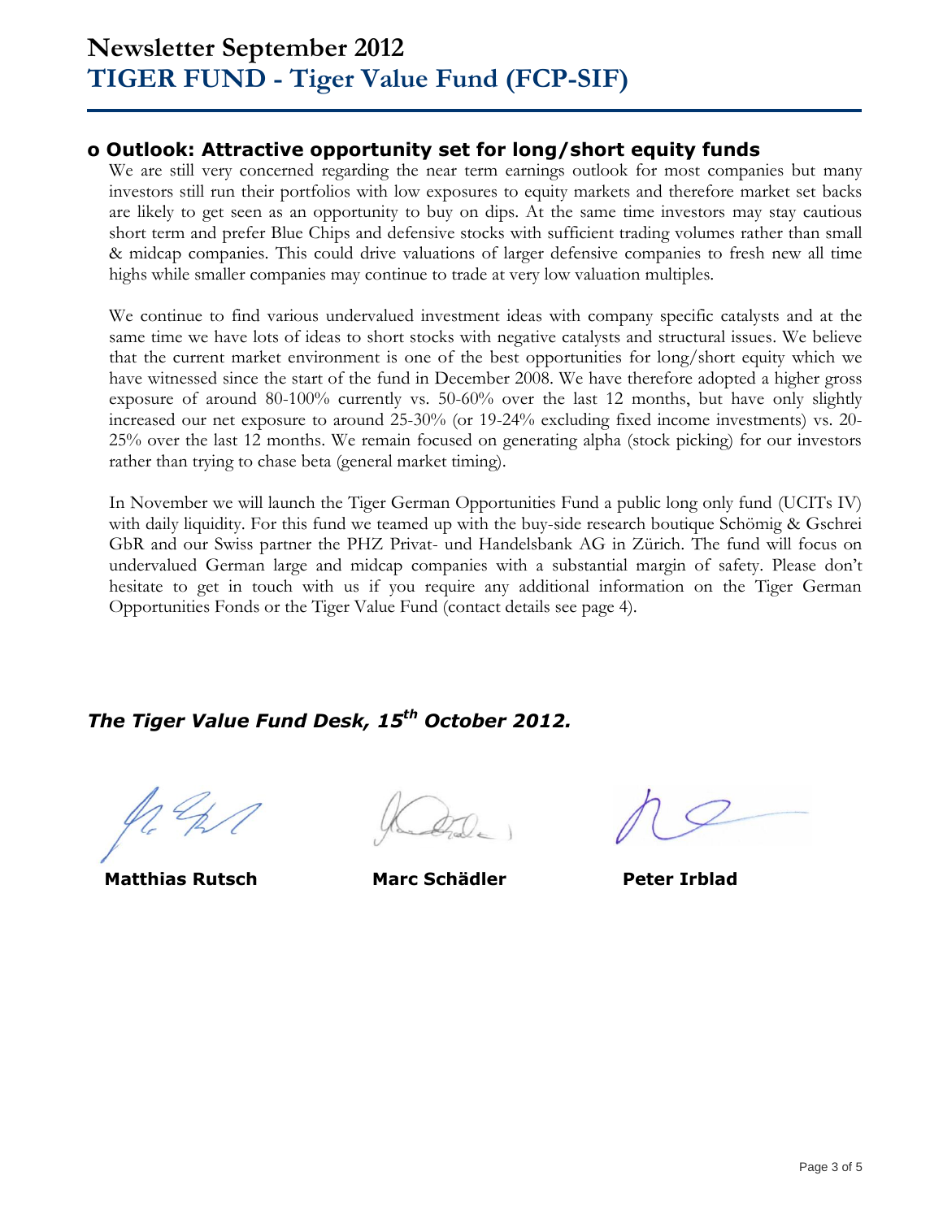## **o Outlook: Attractive opportunity set for long/short equity funds**

We are still very concerned regarding the near term earnings outlook for most companies but many investors still run their portfolios with low exposures to equity markets and therefore market set backs are likely to get seen as an opportunity to buy on dips. At the same time investors may stay cautious short term and prefer Blue Chips and defensive stocks with sufficient trading volumes rather than small & midcap companies. This could drive valuations of larger defensive companies to fresh new all time highs while smaller companies may continue to trade at very low valuation multiples.

We continue to find various undervalued investment ideas with company specific catalysts and at the same time we have lots of ideas to short stocks with negative catalysts and structural issues. We believe that the current market environment is one of the best opportunities for long/short equity which we have witnessed since the start of the fund in December 2008. We have therefore adopted a higher gross exposure of around 80-100% currently vs. 50-60% over the last 12 months, but have only slightly increased our net exposure to around 25-30% (or 19-24% excluding fixed income investments) vs. 20- 25% over the last 12 months. We remain focused on generating alpha (stock picking) for our investors rather than trying to chase beta (general market timing).

In November we will launch the Tiger German Opportunities Fund a public long only fund (UCITs IV) with daily liquidity. For this fund we teamed up with the buy-side research boutique Schömig & Gschrei GbR and our Swiss partner the PHZ Privat- und Handelsbank AG in Zürich. The fund will focus on undervalued German large and midcap companies with a substantial margin of safety. Please don't hesitate to get in touch with us if you require any additional information on the Tiger German Opportunities Fonds or the Tiger Value Fund (contact details see page 4).

## *The Tiger Value Fund Desk, 15th October 2012.*

**Matthias Rutsch Marc Schädler Peter Irblad**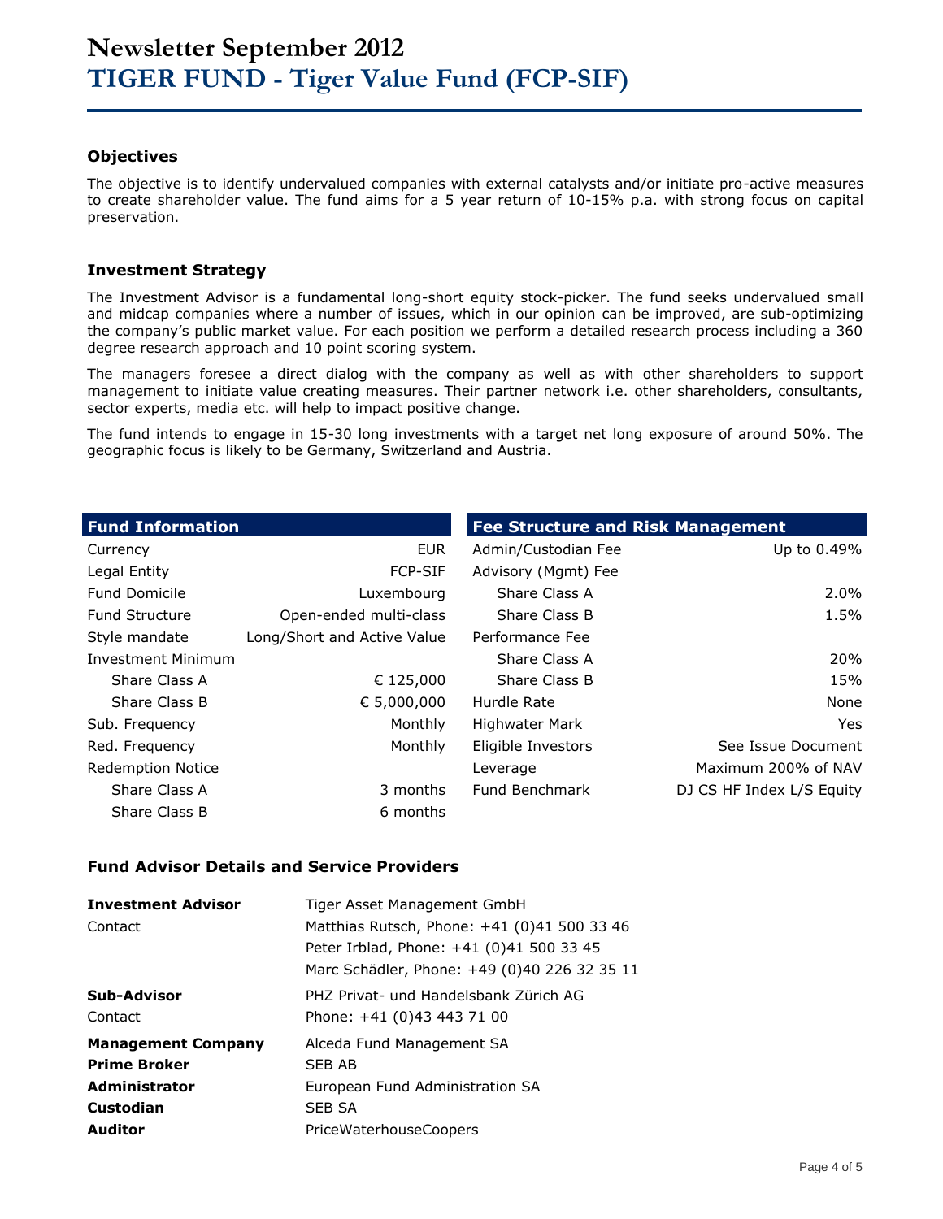### **Objectives**

The objective is to identify undervalued companies with external catalysts and/or initiate pro-active measures to create shareholder value. The fund aims for a 5 year return of 10-15% p.a. with strong focus on capital preservation.

#### **Investment Strategy**

The Investment Advisor is a fundamental long-short equity stock-picker. The fund seeks undervalued small and midcap companies where a number of issues, which in our opinion can be improved, are sub-optimizing the company's public market value. For each position we perform a detailed research process including a 360 degree research approach and 10 point scoring system.

The managers foresee a direct dialog with the company as well as with other shareholders to support management to initiate value creating measures. Their partner network i.e. other shareholders, consultants, sector experts, media etc. will help to impact positive change.

The fund intends to engage in 15-30 long investments with a target net long exposure of around 50%. The geographic focus is likely to be Germany, Switzerland and Austria.

| <b>Fund Information</b>  |                             | <b>Fee Structure and Risk Management</b> |                           |  |  |  |
|--------------------------|-----------------------------|------------------------------------------|---------------------------|--|--|--|
| Currency                 | <b>EUR</b>                  | Admin/Custodian Fee                      | Up to 0.49%               |  |  |  |
| Legal Entity             | <b>FCP-SIF</b>              | Advisory (Mgmt) Fee                      |                           |  |  |  |
| <b>Fund Domicile</b>     | Luxembourg                  | Share Class A                            | $2.0\%$                   |  |  |  |
| <b>Fund Structure</b>    | Open-ended multi-class      | Share Class B                            | 1.5%                      |  |  |  |
| Style mandate            | Long/Short and Active Value | Performance Fee                          |                           |  |  |  |
| Investment Minimum       |                             | Share Class A                            | 20%                       |  |  |  |
| Share Class A            | € 125,000                   | Share Class B                            | 15%                       |  |  |  |
| Share Class B            | € 5,000,000                 | Hurdle Rate                              | None                      |  |  |  |
| Sub. Frequency           | Monthly                     | Highwater Mark                           | Yes.                      |  |  |  |
| Red. Frequency           | Monthly                     | Eligible Investors                       | See Issue Document        |  |  |  |
| <b>Redemption Notice</b> |                             | Leverage                                 | Maximum 200% of NAV       |  |  |  |
| Share Class A            | 3 months                    | Fund Benchmark                           | DJ CS HF Index L/S Equity |  |  |  |
| Share Class B            | 6 months                    |                                          |                           |  |  |  |

#### **Fund Advisor Details and Service Providers**

| <b>Investment Advisor</b> | Tiger Asset Management GmbH                  |
|---------------------------|----------------------------------------------|
| Contact                   | Matthias Rutsch, Phone: +41 (0)41 500 33 46  |
|                           | Peter Irblad, Phone: +41 (0)41 500 33 45     |
|                           | Marc Schädler, Phone: +49 (0)40 226 32 35 11 |
| Sub-Advisor               | PHZ Privat- und Handelsbank Zürich AG        |
| Contact                   | Phone: +41 (0)43 443 71 00                   |
| <b>Management Company</b> | Alceda Fund Management SA                    |
| <b>Prime Broker</b>       | SEB AB                                       |
| <b>Administrator</b>      | European Fund Administration SA              |
| Custodian                 | <b>SEB SA</b>                                |
| <b>Auditor</b>            | <b>PriceWaterhouseCoopers</b>                |